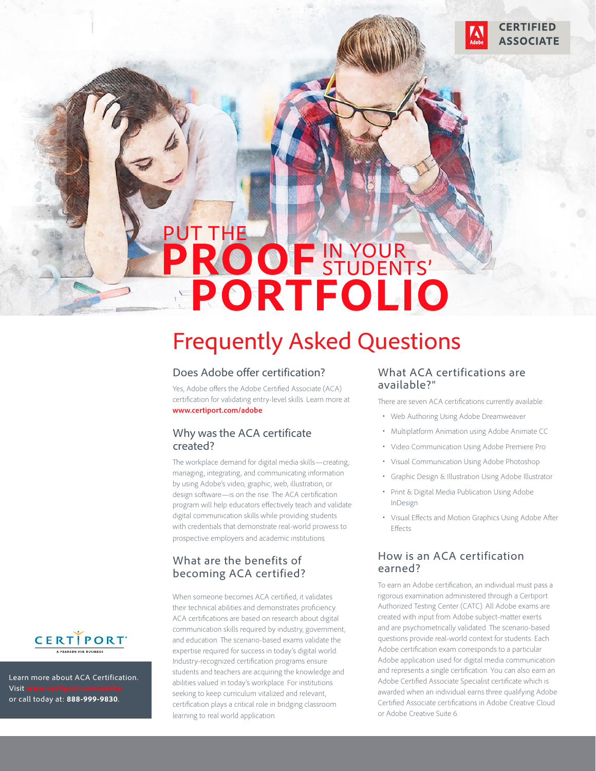# PUT THE PROOF IN YOUR **PORTFOLIO**

# Frequently Asked Questions

#### Does Adobe offer certification?

Yes, Adobe offers the Adobe Certified Associate (ACA) certification for validating entry-level skills. Learn more at **www.certiport.com/adobe**.

#### Why was the ACA certificate created?

The workplace demand for digital media skills—creating, managing, integrating, and communicating information by using Adobe's video, graphic, web, illustration, or design software—is on the rise. The ACA certification program will help educators effectively teach and validate digital communication skills while providing students with credentials that demonstrate real-world prowess to prospective employers and academic institutions.

#### What are the benefits of becoming ACA certified?

When someone becomes ACA certified, it validates their technical abilities and demonstrates proficiency. ACA certifications are based on research about digital communication skills required by industry, government, and education. The scenario-based exams validate the expertise required for success in today's digital world. Industry-recognized certification programs ensure students and teachers are acquiring the knowledge and abilities valued in today's workplace. For institutions seeking to keep curriculum vitalized and relevant, certification plays a critical role in bridging classroom learning to real world application.

#### What ACA certifications are available?"

There are seven ACA certifications currently available:

**CERTIFIED ASSOCIATE** 

- Web Authoring Using Adobe Dreamweaver
- Multiplatform Animation using Adobe Animate CC
- Video Communication Using Adobe Premiere Pro
- Visual Communication Using Adobe Photoshop
- Graphic Design & Illustration Using Adobe Illustrator
- Print & Digital Media Publication Using Adobe InDesign
- Visual Effects and Motion Graphics Using Adobe After Effects

#### How is an ACA certification earned?

To earn an Adobe certification, an individual must pass a rigorous examination administered through a Certiport Authorized Testing Center (CATC). All Adobe exams are created with input from Adobe subject-matter exerts and are psychometrically validated. The scenario-based questions provide real-world context for students. Each Adobe certification exam corresponds to a particular Adobe application used for digital media communication and represents a single certification. You can also earn an Adobe Certified Associate Specialist certificate which is awarded when an individual earns three qualifying Adobe Certified Associate certifications in Adobe Creative Cloud or Adobe Creative Suite 6.



Learn more about ACA Certification. Visit **www.certiport.com/adobe** or call today at: **888-999-9830**.